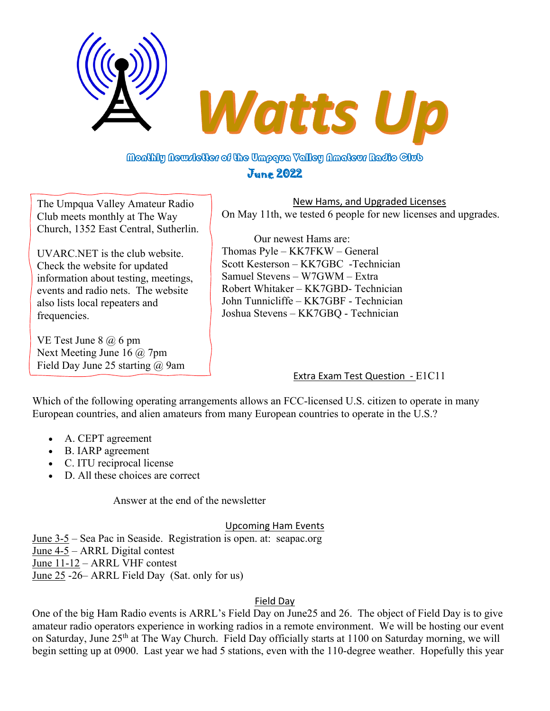

# Monthly Newsletter of the Umpqva Yalley Nmatevr Radio Club June 2022

The Umpqua Valley Amateur Radio Club meets monthly at The Way Church, 1352 East Central, Sutherlin.

UVARC.NET is the club website. Check the website for updated information about testing, meetings, events and radio nets. The website also lists local repeaters and frequencies.

VE Test June  $8$   $\omega$  6 pm Next Meeting June 16 @ 7pm Field Day June 25 starting @ 9am

New Hams, and Upgraded Licenses On May 11th, we tested 6 people for new licenses and upgrades.

Our newest Hams are: Thomas Pyle – KK7FKW – General Scott Kesterson – KK7GBC -Technician Samuel Stevens – W7GWM – Extra Robert Whitaker – KK7GBD- Technician John Tunnicliffe – KK7GBF - Technician Joshua Stevens – KK7GBQ - Technician

# Extra Exam Test Question - E1C11

Which of the following operating arrangements allows an FCC-licensed U.S. citizen to operate in many European countries, and alien amateurs from many European countries to operate in the U.S.?

- A. CEPT agreement
- B. IARP agreement
- C. ITU reciprocal license
- D. All these choices are correct

Answer at the end of the newsletter

## Upcoming Ham Events

June 3-5 – Sea Pac in Seaside. Registration is open. at: seapac.org June 4-5 – ARRL Digital contest June 11-12 – ARRL VHF contest June 25 -26– ARRL Field Day (Sat. only for us)

## Field Day

One of the big Ham Radio events is ARRL's Field Day on June25 and 26. The object of Field Day is to give amateur radio operators experience in working radios in a remote environment. We will be hosting our event on Saturday, June 25<sup>th</sup> at The Way Church. Field Day officially starts at 1100 on Saturday morning, we will begin setting up at 0900. Last year we had 5 stations, even with the 110-degree weather. Hopefully this year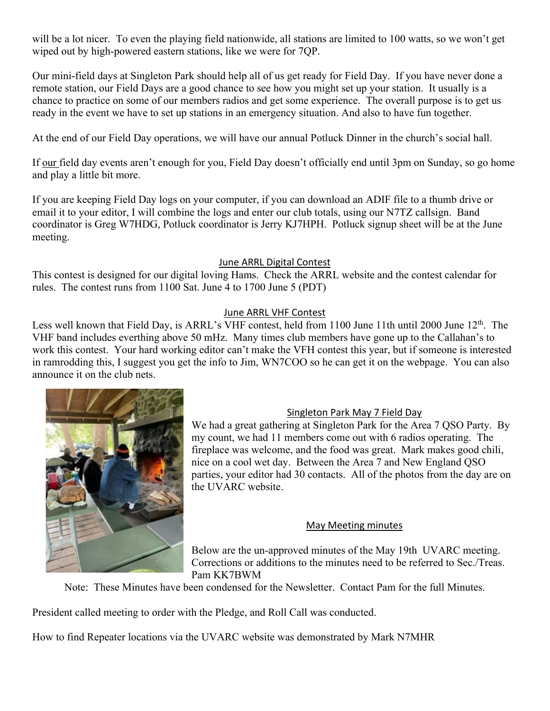will be a lot nicer. To even the playing field nationwide, all stations are limited to 100 watts, so we won't get wiped out by high-powered eastern stations, like we were for 7QP.

Our mini-field days at Singleton Park should help all of us get ready for Field Day. If you have never done a remote station, our Field Days are a good chance to see how you might set up your station. It usually is a chance to practice on some of our members radios and get some experience. The overall purpose is to get us ready in the event we have to set up stations in an emergency situation. And also to have fun together.

At the end of our Field Day operations, we will have our annual Potluck Dinner in the church's social hall.

If our field day events aren't enough for you, Field Day doesn't officially end until 3pm on Sunday, so go home and play a little bit more.

If you are keeping Field Day logs on your computer, if you can download an ADIF file to a thumb drive or email it to your editor, I will combine the logs and enter our club totals, using our N7TZ callsign. Band coordinator is Greg W7HDG, Potluck coordinator is Jerry KJ7HPH. Potluck signup sheet will be at the June meeting.

#### June ARRL Digital Contest

This contest is designed for our digital loving Hams. Check the ARRL website and the contest calendar for rules. The contest runs from 1100 Sat. June 4 to 1700 June 5 (PDT)

### June ARRL VHF Contest

Less well known that Field Day, is ARRL's VHF contest, held from 1100 June 11th until 2000 June 12<sup>th</sup>. The VHF band includes everthing above 50 mHz. Many times club members have gone up to the Callahan's to work this contest. Your hard working editor can't make the VFH contest this year, but if someone is interested in ramrodding this, I suggest you get the info to Jim, WN7COO so he can get it on the webpage. You can also announce it on the club nets.



## Singleton Park May 7 Field Day

We had a great gathering at Singleton Park for the Area 7 QSO Party. By my count, we had 11 members come out with 6 radios operating. The fireplace was welcome, and the food was great. Mark makes good chili, nice on a cool wet day. Between the Area 7 and New England QSO parties, your editor had 30 contacts. All of the photos from the day are on the UVARC website.

## May Meeting minutes

Below are the un-approved minutes of the May 19th UVARC meeting. Corrections or additions to the minutes need to be referred to Sec./Treas. Pam KK7BWM

Note: These Minutes have been condensed for the Newsletter. Contact Pam for the full Minutes.

President called meeting to order with the Pledge, and Roll Call was conducted.

How to find Repeater locations via the UVARC website was demonstrated by Mark N7MHR